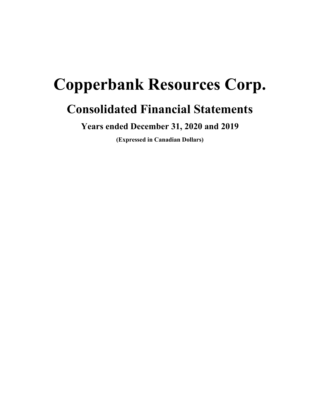# **Copperbank Resources Corp.**

# **Consolidated Financial Statements**

**Years ended December 31, 2020 and 2019**

**(Expressed in Canadian Dollars)**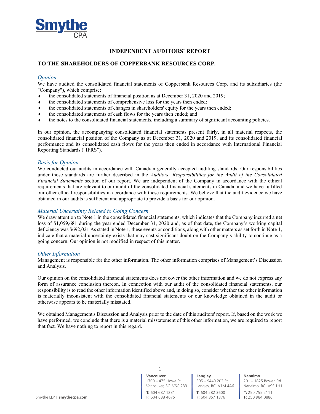

# **INDEPENDENT AUDITORS' REPORT**

# **TO THE SHAREHOLDERS OF COPPERBANK RESOURCES CORP.**

# *Opinion*

We have audited the consolidated financial statements of Copperbank Resources Corp. and its subsidiaries (the "Company"), which comprise:

- the consolidated statements of financial position as at December 31, 2020 and 2019;
- $\bullet$  the consolidated statements of comprehensive loss for the years then ended;
- $\bullet$  the consolidated statements of changes in shareholders' equity for the years then ended;
- $\bullet$  the consolidated statements of cash flows for the years then ended; and
- i the notes to the consolidated financial statements, including a summary of significant accounting policies.

In our opinion, the accompanying consolidated financial statements present fairly, in all material respects, the consolidated financial position of the Company as at December 31, 2020 and 2019, and its consolidated financial performance and its consolidated cash flows for the years then ended in accordance with International Financial Reporting Standards ("IFRS").

#### *Basis for Opinion*

We conducted our audits in accordance with Canadian generally accepted auditing standards. Our responsibilities under those standards are further described in the *Auditors' Responsibilities for the Audit of the Consolidated Financial Statements* section of our report. We are independent of the Company in accordance with the ethical requirements that are relevant to our audit of the consolidated financial statements in Canada, and we have fulfilled our other ethical responsibilities in accordance with these requirements. We believe that the audit evidence we have obtained in our audits is sufficient and appropriate to provide a basis for our opinion.

# *Material Uncertainty Related to Going Concern*

We draw attention to Note 1 in the consolidated financial statements, which indicates that the Company incurred a net loss of \$1,059,681 during the year ended December 31, 2020 and, as of that date, the Company's working capital deficiency was \$692,021 As stated in Note 1, these events or conditions, along with other matters as set forth in Note 1, indicate that a material uncertainty exists that may cast significant doubt on the Company's ability to continue as a going concern. Our opinion is not modified in respect of this matter.

#### *Other Information*

Management is responsible for the other information. The other information comprises of Management's Discussion and Analysis.

Our opinion on the consolidated financial statements does not cover the other information and we do not express any form of assurance conclusion thereon. In connection with our audit of the consolidated financial statements, our responsibility is to read the other information identified above and, in doing so, consider whether the other information is materially inconsistent with the consolidated financial statements or our knowledge obtained in the audit or otherwise appears to be materially misstated.

We obtained Management's Discussion and Analysis prior to the date of this auditors' report. If, based on the work we have performed, we conclude that there is a material misstatement of this other information, we are required to report that fact. We have nothing to report in this regard.

> **Vancouver** 1700 – 475 Howe St Vancouver, BC V6C 2B3 1

**T:** 604 687 1231

**T:** 604 282 3600 **F:** 604 357 1376 **Langley** 305 – 9440 202 St Langley, BC V1M 4A6 **Nanaimo** 201 – 1825 Bowen Rd Nanaimo, BC V9S 1H1 **T:** 250 755 2111 **F:** 250 984 0886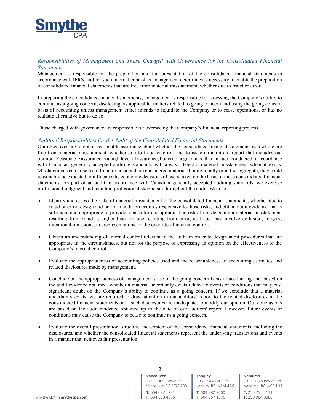

# *Responsibilities of Management and Those Charged with Governance for the Consolidated Financial Statements*

Management is responsible for the preparation and fair presentation of the consolidated financial statements in accordance with IFRS, and for such internal control as management determines is necessary to enable the preparation of consolidated financial statements that are free from material misstatement, whether due to fraud or error.

In preparing the consolidated financial statements, management is responsible for assessing the Company's ability to continue as a going concern, disclosing, as applicable, matters related to going concern and using the going concern basis of accounting unless management either intends to liquidate the Company or to cease operations, or has no realistic alternative but to do so.

Those charged with governance are responsible for overseeing the Company's financial reporting process.

# *Auditors' Responsibilities for the Audit of the Consolidated Financial Statements*

Our objectives are to obtain reasonable assurance about whether the consolidated financial statements as a whole are free from material misstatement, whether due to fraud or error, and to issue an auditors' report that includes our opinion. Reasonable assurance is a high level of assurance, but is not a guarantee that an audit conducted in accordance with Canadian generally accepted auditing standards will always detect a material misstatement when it exists. Misstatements can arise from fraud or error and are considered material if, individually or in the aggregate, they could reasonably be expected to influence the economic decisions of users taken on the basis of these consolidated financial statements. As part of an audit in accordance with Canadian generally accepted auditing standards, we exercise professional judgment and maintain professional skepticism throughout the audit. We also:

- Identify and assess the risks of material misstatement of the consolidated financial statements, whether due to fraud or error, design and perform audit procedures responsive to those risks, and obtain audit evidence that is sufficient and appropriate to provide a basis for our opinion. The risk of not detecting a material misstatement resulting from fraud is higher than for one resulting from error, as fraud may involve collusion, forgery, intentional omissions, misrepresentations, or the override of internal control.
- i Obtain an understanding of internal control relevant to the audit in order to design audit procedures that are appropriate in the circumstances, but not for the purpose of expressing an opinion on the effectiveness of the Company's internal control.
- i Evaluate the appropriateness of accounting policies used and the reasonableness of accounting estimates and related disclosures made by management.
- $\bullet$  Conclude on the appropriateness of management's use of the going concern basis of accounting and, based on the audit evidence obtained, whether a material uncertainty exists related to events or conditions that may cast significant doubt on the Company's ability to continue as a going concern. If we conclude that a material uncertainty exists, we are required to draw attention in our auditors' report to the related disclosures in the consolidated financial statements or, if such disclosures are inadequate, to modify our opinion. Our conclusions are based on the audit evidence obtained up to the date of our auditors' report. However, future events or conditions may cause the Company to cease to continue as a going concern.
- i Evaluate the overall presentation, structure and content of the consolidated financial statements, including the disclosures, and whether the consolidated financial statements represent the underlying transactions and events in a manner that achieves fair presentation.

**Vancouver** 1700 – 475 Howe St Vancouver, BC V6C 2B3 2

**T:** 604 687 1231

**T:** 604 282 3600 **F:** 604 357 1376 **Langley** 305 – 9440 202 St Langley, BC V1M 4A6 **Nanaimo** 201 – 1825 Bowen Rd Nanaimo, BC V9S 1H1 **T:** 250 755 2111 **F:** 250 984 0886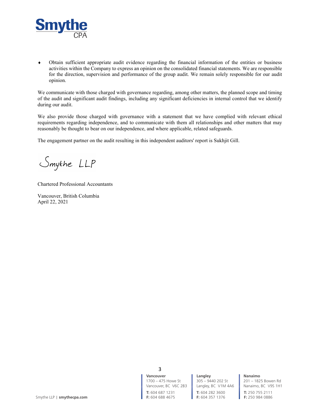

i Obtain sufficient appropriate audit evidence regarding the financial information of the entities or business activities within the Company to express an opinion on the consolidated financial statements. We are responsible for the direction, supervision and performance of the group audit. We remain solely responsible for our audit opinion.

We communicate with those charged with governance regarding, among other matters, the planned scope and timing of the audit and significant audit findings, including any significant deficiencies in internal control that we identify during our audit.

We also provide those charged with governance with a statement that we have complied with relevant ethical requirements regarding independence, and to communicate with them all relationships and other matters that may reasonably be thought to bear on our independence, and where applicable, related safeguards.

The engagement partner on the audit resulting in this independent auditors' report is Sukhjit Gill.

Smythe LLP

Chartered Professional Accountants

Vancouver, British Columbia April 22, 2021

> **Vancouver** 1700 – 475 Howe St Vancouver, BC V6C 2B3 3

**T:** 604 687 1231

**T:** 604 282 3600 **F:** 604 357 1376 **Langley** 305 – 9440 202 St Langley, BC V1M 4A6 **Nanaimo**

201 – 1825 Bowen Rd Nanaimo, BC V9S 1H1 **T:** 250 755 2111

**F:** 250 984 0886

Smythe LLP | **smythecpa.com F:** 604 688 4675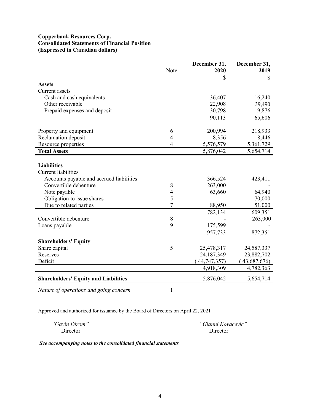# **Copperbank Resources Corp. Consolidated Statements of Financial Position (Expressed in Canadian dollars)**

|                                                  | Note           | December 31,<br>2020 | December 31,<br>2019 |
|--------------------------------------------------|----------------|----------------------|----------------------|
|                                                  |                | \$                   | $\mathbb{S}$         |
| <b>Assets</b>                                    |                |                      |                      |
| Current assets                                   |                |                      |                      |
| Cash and cash equivalents                        |                | 36,407               | 16,240               |
| Other receivable                                 |                | 22,908               | 39,490               |
| Prepaid expenses and deposit                     |                | 30,798               | 9,876                |
|                                                  |                | 90,113               | 65,606               |
| Property and equipment                           | 6              | 200,994              | 218,933              |
| Reclamation deposit                              | $\overline{4}$ | 8,356                | 8,446                |
| Resource properties                              | $\overline{4}$ | 5,576,579            | 5,361,729            |
| <b>Total Assets</b>                              |                | 5,876,042            | 5,654,714            |
| <b>Liabilities</b><br><b>Current liabilities</b> |                |                      |                      |
| Accounts payable and accrued liabilities         |                | 366,524              | 423,411              |
| Convertible debenture                            | 8              | 263,000              |                      |
| Note payable                                     | $\overline{4}$ | 63,660               | 64,940               |
| Obligation to issue shares                       | 5              |                      | 70,000               |
| Due to related parties                           | 7              | 88,950               | 51,000               |
|                                                  |                | 782,134              | 609,351              |
| Convertible debenture                            | 8              |                      | 263,000              |
| Loans payable                                    | 9              | 175,599              |                      |
|                                                  |                | 957,733              | 872,351              |
| <b>Shareholders' Equity</b>                      |                |                      |                      |
| Share capital                                    | 5              | 25,478,317           | 24,587,337           |
| Reserves                                         |                | 24,187,349           | 23,882,702           |
| Deficit                                          |                | (44, 747, 357)       | (43,687,676)         |
|                                                  |                | 4,918,309            | 4,782,363            |
| <b>Shareholders' Equity and Liabilities</b>      |                | 5,876,042            | 5,654,714            |
| Nature of operations and going concern           | 1              |                      |                      |

Approved and authorized for issuance by the Board of Directors on April 22, 2021

*a a a a a <i><i><del>gianni Kovacevic***<sup>\*</sup>** *<i>gianni Kovacevic***<sup>\*</sup>**</del> Director Director

*See accompanying notes to the consolidated financial statements*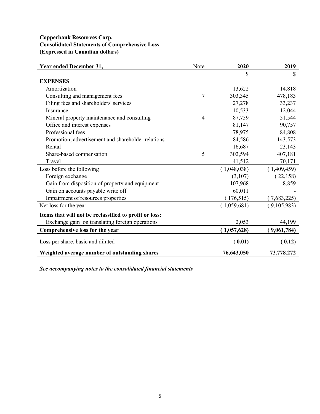# **Copperbank Resources Corp. Consolidated Statements of Comprehensive Loss (Expressed in Canadian dollars)**

| Year ended December 31,                                | Note | 2020        | 2019        |
|--------------------------------------------------------|------|-------------|-------------|
|                                                        |      | \$          | S           |
| <b>EXPENSES</b>                                        |      |             |             |
| Amortization                                           |      | 13,622      | 14,818      |
| Consulting and management fees                         | 7    | 303,345     | 478,183     |
| Filing fees and shareholders' services                 |      | 27,278      | 33,237      |
| Insurance                                              |      | 10,533      | 12,044      |
| Mineral property maintenance and consulting            | 4    | 87,759      | 51,544      |
| Office and interest expenses                           |      | 81,147      | 90,757      |
| Professional fees                                      |      | 78,975      | 84,808      |
| Promotion, advertisement and shareholder relations     |      | 84,586      | 143,573     |
| Rental                                                 |      | 16,687      | 23,143      |
| Share-based compensation                               | 5    | 302,594     | 407,181     |
| Travel                                                 |      | 41,512      | 70,171      |
| Loss before the following                              |      | (1,048,038) | (1,409,459) |
| Foreign exchange                                       |      | (3,107)     | (22,158)    |
| Gain from disposition of property and equipment        |      | 107,968     | 8,859       |
| Gain on accounts payable write off                     |      | 60,011      |             |
| Impairment of resources properties                     |      | (176, 515)  | (7,683,225) |
| Net loss for the year                                  |      | (1,059,681) | (9,105,983) |
| Items that will not be reclassified to profit or loss: |      |             |             |
| Exchange gain on translating foreign operations        |      | 2,053       | 44,199      |
| Comprehensive loss for the year                        |      | (1,057,628) | (9,061,784) |
| Loss per share, basic and diluted                      |      | (0.01)      | (0.12)      |
| Weighted average number of outstanding shares          |      | 76,643,050  | 73,778,272  |

*See accompanying notes to the consolidated financial statements*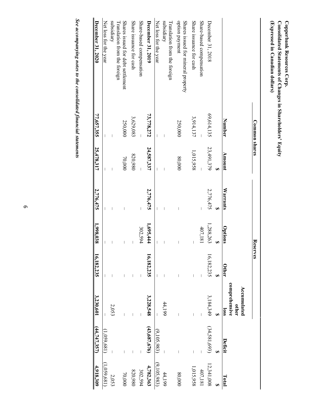| 4,918,309   | (44,747,357)   | 3,230,601                                     | 16,182,235 | 1,998,038 | 2,776,475 | 25,478,317 | 77,657,355    | December 31, 2020                                    |
|-------------|----------------|-----------------------------------------------|------------|-----------|-----------|------------|---------------|------------------------------------------------------|
| (1,059,681) | (1,059,681)    |                                               |            |           |           |            |               | Net loss for the year                                |
| 2,053       |                | 2,053                                         |            |           |           |            |               | subsidiary<br>Translation from the foreign           |
| 70,000      |                |                                               |            |           |           | 70,000     | 250,000       | Shares issued for debt settlement                    |
| 820,980     |                |                                               |            |           |           | 820,980    | 3,629,083     | Share issuance for cash                              |
| 302,594     |                |                                               |            | 302,594   |           |            |               | Share-based compensation                             |
| 4,782,363   | (43,687,676)   | 3,228,548                                     | 16,182,235 | 1,695,444 | 2,776,475 | 24,587,337 | 73,778,272    | December 31, 2019                                    |
| (9,105,983) | (9,105,983)    |                                               |            |           |           |            |               | Net loss for the year                                |
| 44,199      |                | 44,199                                        |            |           |           |            |               | subsidiary<br>Translation from the foreign           |
| 80,000      |                |                                               |            |           |           | 80,000     | 250,000       | option payment<br>Shares issued for mineral property |
| 1,015,958   |                |                                               |            |           |           | 1,015,958  | 3,914,137     | Share issuance for cash                              |
| 407,181     |                |                                               |            | 407,181   |           |            |               | Share-based compensation                             |
| 12,341,008  | (34,581,693)   | 3,184,349                                     | 16,182,235 | 1,288,263 | 2,776,475 | 23,491,379 | 69,614,135    | December 31, 2018                                    |
|             |                |                                               |            |           | s,        | Đ,         |               |                                                      |
| Total       | <b>Deficit</b> | comprehensive<br>Accumulated<br>other<br>loss | Other      | Options   | Warrants  | Amount     | Number        |                                                      |
|             |                |                                               | Reserves   |           |           |            | Common shares |                                                      |
|             |                |                                               |            |           |           |            |               | (Expressed in Canadian dollars)                      |

**Copperbank**

**Consolidated**

**Statements**

<u>ኳ</u>

**Changes**

**in**

**ShareholderV¶**

**Equity**

**Resources** Copperbank Resources Corp.

*See accompanying notes to the consolidated financial statements*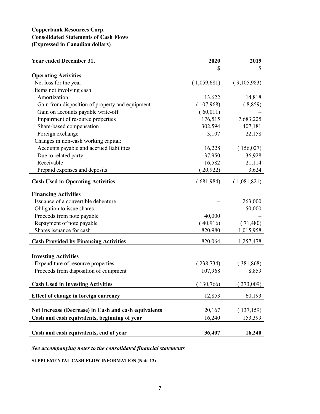# **Copperbank Resources Corp. Consolidated Statements of Cash Flows (Expressed in Canadian dollars)**

| <b>Year ended December 31,</b>                       | 2020        | 2019        |
|------------------------------------------------------|-------------|-------------|
|                                                      | \$          | S           |
| <b>Operating Activities</b>                          |             |             |
| Net loss for the year                                | (1,059,681) | (9,105,983) |
| Items not involving cash                             |             |             |
| Amortization                                         | 13,622      | 14,818      |
| Gain from disposition of property and equipment      | (107,968)   | (8,859)     |
| Gain on accounts payable write-off                   | (60,011)    |             |
| Impairment of resource properties                    | 176,515     | 7,683,225   |
| Share-based compensation                             | 302,594     | 407,181     |
| Foreign exchange                                     | 3,107       | 22,158      |
| Changes in non-cash working capital:                 |             |             |
| Accounts payable and accrued liabilities             | 16,228      | (156,027)   |
| Due to related party                                 | 37,950      | 36,928      |
| Receivable                                           | 16,582      | 21,114      |
| Prepaid expenses and deposits                        | 20,922)     | 3,624       |
| <b>Cash Used in Operating Activities</b>             | (681,984)   | (1,081,821) |
| <b>Financing Activities</b>                          |             |             |
| Issuance of a convertible debenture                  |             | 263,000     |
| Obligation to issue shares                           |             | 50,000      |
| Proceeds from note payable                           | 40,000      |             |
| Repayment of note payable                            | (40,916)    | (71,480)    |
| Shares issuance for cash                             | 820,980     | 1,015,958   |
| <b>Cash Provided by Financing Activities</b>         | 820,064     | 1,257,478   |
|                                                      |             |             |
| <b>Investing Activities</b>                          |             |             |
| Expenditure of resource properties                   | (238, 734)  | (381,868)   |
| Proceeds from disposition of equipment               | 107,968     | 8,859       |
|                                                      |             |             |
| <b>Cash Used in Investing Activities</b>             | 130,766)    | 373,009)    |
| Effect of change in foreign currency                 | 12,853      | 60,193      |
| Net Increase (Decrease) in Cash and cash equivalents | 20,167      | (137, 159)  |
| Cash and cash equivalents, beginning of year         | 16,240      | 153,399     |
|                                                      |             |             |
| Cash and cash equivalents, end of year               | 36,407      | 16,240      |

*See accompanying notes to the consolidated financial statements*

**SUPPLEMENTAL CASH FLOW INFORMATION (Note 13)**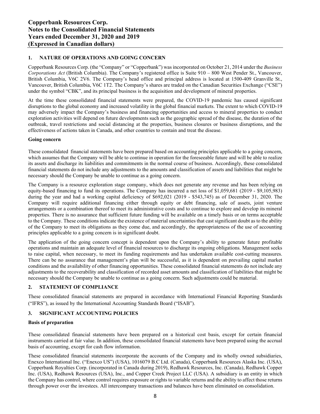# **1. NATURE OF OPERATIONS AND GOING CONCERN**

Copperbank Resources Corp. (the "Company" or "Copperbank") was incorporated on October 21, 2014 under the *Business Corporations Act* (British Columbia). The Company's registered office is Suite 910 – 800 West Pender St., Vancouver, British Columbia, V6C 2V6. The Company's head office and principal address is located at 1500-409 Granville St., Vancouver, British Columbia, V6C 1T2. The Company's shares are traded on the Canadian Securities Exchange ("CSE") under the symbol "CBK", and its principal business is the acquisition and development of mineral properties.

At the time these consolidated financial statements were prepared, the COVID-19 pandemic has caused significant disruptions to the global economy and increased volatility in the global financial markets. The extent to which COVID-19 may adversely impact the Company's business and financing opportunities and access to mineral properties to conduct exploration activities will depend on future developments such as the geographic spread of the disease, the duration of the outbreak, travel restrictions and social distancing at the properties, business closures or business disruptions, and the effectiveness of actions taken in Canada, and other countries to contain and treat the disease.

#### **Going concern**

These consolidated financial statements have been prepared based on accounting principles applicable to a going concern, which assumes that the Company will be able to continue in operation for the foreseeable future and will be able to realize its assets and discharge its liabilities and commitments in the normal course of business. Accordingly, these consolidated financial statements do not include any adjustments to the amounts and classification of assets and liabilities that might be necessary should the Company be unable to continue as a going concern.

The Company is a resource exploration stage company, which does not generate any revenue and has been relying on equity-based financing to fund its operations. The Company has incurred a net loss of \$1,059,681 (2019 - \$9,105,983) during the year and had a working capital deficiency of \$692,021 (2019 - \$543,745) as of December 31, 2020. The Company will require additional financing either through equity or debt financing, sale of assets, joint venture arrangements or a combination thereof to meet its administrative costs and to continue to explore and develop its mineral properties. There is no assurance that sufficient future funding will be available on a timely basis or on terms acceptable to the Company. These conditions indicate the existence of material uncertainties that cast significant doubt as to the ability of the Company to meet its obligations as they come due, and accordingly, the appropriateness of the use of accounting principles applicable to a going concern is in significant doubt.

The application of the going concern concept is dependent upon the Company's ability to generate future profitable operations and maintain an adequate level of financial resources to discharge its ongoing obligations. Management seeks to raise capital, when necessary, to meet its funding requirements and has undertaken available cost-cutting measures. There can be no assurance that management's plan will be successful, as it is dependent on prevailing capital market conditions and the availability of other financing opportunities. These consolidated financial statements do not include any adjustments to the recoverability and classification of recorded asset amounts and classification of liabilities that might be necessary should the Company be unable to continue as a going concern. Such adjustments could be material.

# **2. STATEMENT OF COMPLIANCE**

These consolidated financial statements are prepared in accordance with International Financial Reporting Standards ("IFRS"), as issued by the International Accounting Standards Board ("ISAB").

# **3. SIGNIFICANT ACCOUNTING POLICIES**

#### **Basis of preparation**

These consolidated financial statements have been prepared on a historical cost basis, except for certain financial instruments carried at fair value. In addition, these consolidated financial statements have been prepared using the accrual basis of accounting, except for cash flow information.

These consolidated financial statements incorporate the accounts of the Company and its wholly owned subsidiaries, Enexco International Inc. ("Enexco US") (USA), 1016079 B.C Ltd. (Canada), Copperbank Resources Alaska Inc. (USA), Copperbank Royalties Corp. (incorporated in Canada during 2019), Redhawk Resources, Inc. (Canada), Redhawk Copper Inc. (USA), Redhawk Resources (USA), Inc., and Copper Creek Project LLC (USA). A subsidiary is an entity in which the Company has control, where control requires exposure or rights to variable returns and the ability to affect those returns through power over the investees. All intercompany transactions and balances have been eliminated on consolidation.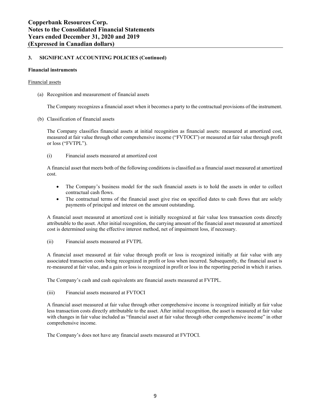#### **Financial instruments**

#### Financial assets

(a) Recognition and measurement of financial assets

The Company recognizes a financial asset when it becomes a party to the contractual provisions of the instrument.

(b) Classification of financial assets

The Company classifies financial assets at initial recognition as financial assets: measured at amortized cost, measured at fair value through other comprehensive income ("FVTOCI") or measured at fair value through profit or loss ("FVTPL").

(i) Financial assets measured at amortized cost

A financial asset that meets both of the following conditions is classified as a financial asset measured at amortized cost.

- The Company's business model for the such financial assets is to hold the assets in order to collect contractual cash flows.
- The contractual terms of the financial asset give rise on specified dates to cash flows that are solely payments of principal and interest on the amount outstanding.

A financial asset measured at amortized cost is initially recognized at fair value less transaction costs directly attributable to the asset. After initial recognition, the carrying amount of the financial asset measured at amortized cost is determined using the effective interest method, net of impairment loss, if necessary.

(ii) Financial assets measured at FVTPL

A financial asset measured at fair value through profit or loss is recognized initially at fair value with any associated transaction costs being recognized in profit or loss when incurred. Subsequently, the financial asset is re-measured at fair value, and a gain or loss is recognized in profit or loss in the reporting period in which it arises.

The Company's cash and cash equivalents are financial assets measured at FVTPL.

(iii) Financial assets measured at FVTOCI

A financial asset measured at fair value through other comprehensive income is recognized initially at fair value less transaction costs directly attributable to the asset. After initial recognition, the asset is measured at fair value with changes in fair value included as "financial asset at fair value through other comprehensive income" in other comprehensive income.

The Company's does not have any financial assets measured at FVTOCI.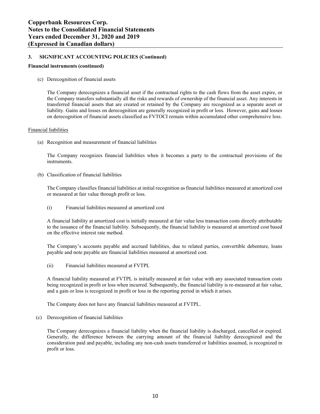# **Financial instruments (continued)**

(c) Derecognition of financial assets

The Company derecognizes a financial asset if the contractual rights to the cash flows from the asset expire, or the Company transfers substantially all the risks and rewards of ownership of the financial asset. Any interests in transferred financial assets that are created or retained by the Company are recognized as a separate asset or liability. Gains and losses on derecognition are generally recognized in profit or loss. However, gains and losses on derecognition of financial assets classified as FVTOCI remain within accumulated other comprehensive loss.

#### Financial liabilities

(a) Recognition and measurement of financial liabilities

The Company recognizes financial liabilities when it becomes a party to the contractual provisions of the instruments.

(b) Classification of financial liabilities

The Company classifies financial liabilities at initial recognition as financial liabilities measured at amortized cost or measured at fair value through profit or loss.

(i) Financial liabilities measured at amortized cost

A financial liability at amortized cost is initially measured at fair value less transaction costs directly attributable to the issuance of the financial liability. Subsequently, the financial liability is measured at amortized cost based on the effective interest rate method.

The Company's accounts payable and accrued liabilities, due to related parties, convertible debenture, loans payable and note payable are financial liabilities measured at amortized cost.

(ii) Financial liabilities measured at FVTPL

A financial liability measured at FVTPL is initially measured at fair value with any associated transaction costs being recognized in profit or loss when incurred. Subsequently, the financial liability is re-measured at fair value, and a gain or loss is recognized in profit or loss in the reporting period in which it arises.

The Company does not have any financial liabilities measured at FVTPL.

(c) Derecognition of financial liabilities

The Company derecognizes a financial liability when the financial liability is discharged, cancelled or expired. Generally, the difference between the carrying amount of the financial liability derecognized and the consideration paid and payable, including any non-cash assets transferred or liabilities assumed, is recognized in profit or loss.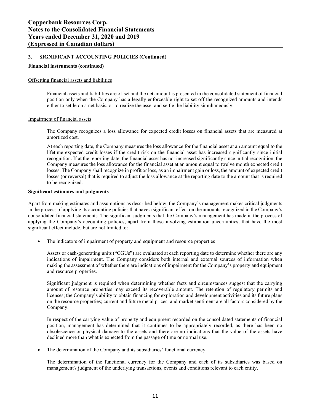#### **Financial instruments (continued)**

#### Offsetting financial assets and liabilities

Financial assets and liabilities are offset and the net amount is presented in the consolidated statement of financial position only when the Company has a legally enforceable right to set off the recognized amounts and intends either to settle on a net basis, or to realize the asset and settle the liability simultaneously.

#### Impairment of financial assets

The Company recognizes a loss allowance for expected credit losses on financial assets that are measured at amortized cost.

At each reporting date, the Company measures the loss allowance for the financial asset at an amount equal to the lifetime expected credit losses if the credit risk on the financial asset has increased significantly since initial recognition. If at the reporting date, the financial asset has not increased significantly since initial recognition, the Company measures the loss allowance for the financial asset at an amount equal to twelve month expected credit losses. The Company shall recognize in profit or loss, as an impairment gain or loss, the amount of expected credit losses (or reversal) that is required to adjust the loss allowance at the reporting date to the amount that is required to be recognized.

#### **Significant estimates and judgments**

Apart from making estimates and assumptions as described below, the Company's management makes critical judgments in the process of applying its accounting policies that have a significant effect on the amounts recognized in the Company's consolidated financial statements. The significant judgments that the Company's management has made in the process of applying the Company's accounting policies, apart from those involving estimation uncertainties, that have the most significant effect include, but are not limited to:

The indicators of impairment of property and equipment and resource properties

Assets or cash-generating units ("CGUs") are evaluated at each reporting date to determine whether there are any indications of impairment. The Company considers both internal and external sources of information when making the assessment of whether there are indications of impairment for the Company's property and equipment and resource properties.

Significant judgment is required when determining whether facts and circumstances suggest that the carrying amount of resource properties may exceed its recoverable amount. The retention of regulatory permits and licenses; the Company's ability to obtain financing for exploration and development activities and its future plans on the resource properties; current and future metal prices; and market sentiment are all factors considered by the Company.

In respect of the carrying value of property and equipment recorded on the consolidated statements of financial position, management has determined that it continues to be appropriately recorded, as there has been no obsolescence or physical damage to the assets and there are no indications that the value of the assets have declined more than what is expected from the passage of time or normal use.

The determination of the Company and its subsidiaries' functional currency

The determination of the functional currency for the Company and each of its subsidiaries was based on management's judgment of the underlying transactions, events and conditions relevant to each entity.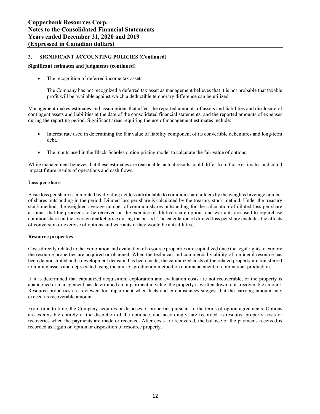# **Significant estimates and judgments (continued)**

The recognition of deferred income tax assets

The Company has not recognized a deferred tax asset as management believes that it is not probable that taxable profit will be available against which a deductible temporary difference can be utilized.

Management makes estimates and assumptions that affect the reported amounts of assets and liabilities and disclosure of contingent assets and liabilities at the date of the consolidated financial statements, and the reported amounts of expenses during the reporting period. Significant areas requiring the use of management estimates include:

- Interest rate used in determining the fair value of liability component of its convertible debentures and long-term debt.
- The inputs used in the Black-Scholes option pricing model to calculate the fair value of options.

While management believes that these estimates are reasonable, actual results could differ from those estimates and could impact future results of operations and cash flows.

#### **Loss per share**

Basic loss per share is computed by dividing net loss attributable to common shareholders by the weighted average number of shares outstanding in the period. Diluted loss per share is calculated by the treasury stock method. Under the treasury stock method, the weighted average number of common shares outstanding for the calculation of diluted loss per share assumes that the proceeds to be received on the exercise of dilutive share options and warrants are used to repurchase common shares at the average market price during the period. The calculation of diluted loss per share excludes the effects of conversion or exercise of options and warrants if they would be anti-dilutive.

#### **Resource properties**

Costs directly related to the exploration and evaluation of resource properties are capitalized once the legal rights to explore the resource properties are acquired or obtained. When the technical and commercial viability of a mineral resource has been demonstrated and a development decision has been made, the capitalized costs of the related property are transferred to mining assets and depreciated using the unit-of-production method on commencement of commercial production.

If it is determined that capitalized acquisition, exploration and evaluation costs are not recoverable, or the property is abandoned or management has determined an impairment in value, the property is written down to its recoverable amount. Resource properties are reviewed for impairment when facts and circumstances suggest that the carrying amount may exceed its recoverable amount.

From time to time, the Company acquires or disposes of properties pursuant to the terms of option agreements. Options are exercisable entirely at the discretion of the optionee, and accordingly, are recorded as resource property costs or recoveries when the payments are made or received. After costs are recovered, the balance of the payments received is recorded as a gain on option or disposition of resource property.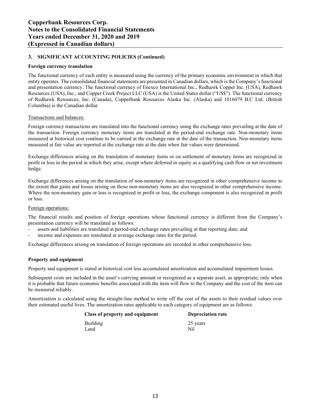# **Foreign currency translation**

The functional currency of each entity is measured using the currency of the primary economic environment in which that entity operates. The consolidated financial statements are presented in Canadian dollars, which is the Company's functional and presentation currency. The functional currency of Enexco International Inc., Redhawk Copper Inc. (USA), Redhawk Resources (USA), Inc., and Copper Creek Project LLC (USA) is the United States dollar ("US\$"). The functional currency of Redhawk Resources, Inc. (Canada), Copperbank Resources Alaska Inc. (Alaska) and 1016079 B.C Ltd. (British Columbia) is the Canadian dollar.

#### Transactions and balances:

Foreign currency transactions are translated into the functional currency using the exchange rates prevailing at the date of the transaction. Foreign currency monetary items are translated at the period-end exchange rate. Non-monetary items measured at historical cost continue to be carried at the exchange rate at the date of the transaction. Non-monetary items measured at fair value are reported at the exchange rate at the date when fair values were determined.

Exchange differences arising on the translation of monetary items or on settlement of monetary items are recognized in profit or loss in the period in which they arise, except where deferred in equity as a qualifying cash flow or net investment hedge.

Exchange differences arising on the translation of non-monetary items are recognized in other comprehensive income to the extent that gains and losses arising on those non-monetary items are also recognized in other comprehensive income. Where the non-monetary gain or loss is recognized in profit or loss, the exchange component is also recognized in profit or loss.

#### Foreign operations:

The financial results and position of foreign operations whose functional currency is different from the Company's presentation currency will be translated as follows:

- assets and liabilities are translated at period-end exchange rates prevailing at that reporting date; and
- income and expenses are translated at average exchange rates for the period.

Exchange differences arising on translation of foreign operations are recorded in other comprehensive loss.

# **Property and equipment**

Property and equipment is stated at historical cost less accumulated amortization and accumulated impairment losses.

Subsequent costs are included in the asset's carrying amount or recognized as a separate asset, as appropriate, only when it is probable that future economic benefits associated with the item will flow to the Company and the cost of the item can be measured reliably.

Amortization is calculated using the straight-line method to write off the cost of the assets to their residual values over their estimated useful lives. The amortization rates applicable to each category of equipment are as follows:

| Class of property and equipment | <b>Depreciation rate</b> |
|---------------------------------|--------------------------|
| <b>Building</b>                 | 25 years                 |
| Land                            | Nil                      |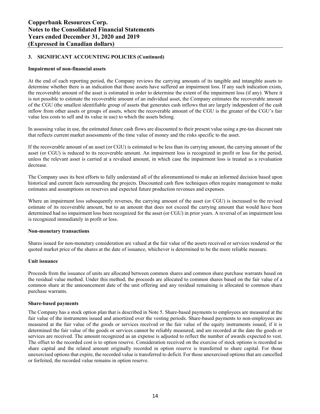# **Impairment of non-financial assets**

At the end of each reporting period, the Company reviews the carrying amounts of its tangible and intangible assets to determine whether there is an indication that those assets have suffered an impairment loss. If any such indication exists, the recoverable amount of the asset is estimated in order to determine the extent of the impairment loss (if any). Where it is not possible to estimate the recoverable amount of an individual asset, the Company estimates the recoverable amount of the CGU (the smallest identifiable group of assets that generates cash inflows that are largely independent of the cash inflow from other assets or groups of assets, where the recoverable amount of the CGU is the greater of the CGU's fair value less costs to sell and its value in use) to which the assets belong.

In assessing value in use, the estimated future cash flows are discounted to their present value using a pre-tax discount rate that reflects current market assessments of the time value of money and the risks specific to the asset.

If the recoverable amount of an asset (or CGU) is estimated to be less than its carrying amount, the carrying amount of the asset (or CGU) is reduced to its recoverable amount. An impairment loss is recognized in profit or loss for the period, unless the relevant asset is carried at a revalued amount, in which case the impairment loss is treated as a revaluation decrease.

The Company uses its best efforts to fully understand all of the aforementioned to make an informed decision based upon historical and current facts surrounding the projects. Discounted cash flow techniques often require management to make estimates and assumptions on reserves and expected future production revenues and expenses.

Where an impairment loss subsequently reverses, the carrying amount of the asset (or CGU) is increased to the revised estimate of its recoverable amount, but to an amount that does not exceed the carrying amount that would have been determined had no impairment loss been recognized for the asset (or CGU) in prior years. A reversal of an impairment loss is recognized immediately in profit or loss.

#### **Non-monetary transactions**

Shares issued for non-monetary consideration are valued at the fair value of the assets received or services rendered or the quoted market price of the shares at the date of issuance, whichever is determined to be the more reliable measure.

#### **Unit issuance**

Proceeds from the issuance of units are allocated between common shares and common share purchase warrants based on the residual value method. Under this method, the proceeds are allocated to common shares based on the fair value of a common share at the announcement date of the unit offering and any residual remaining is allocated to common share purchase warrants.

#### **Share-based payments**

The Company has a stock option plan that is described in Note 5. Share-based payments to employees are measured at the fair value of the instruments issued and amortized over the vesting periods. Share-based payments to non-employees are measured at the fair value of the goods or services received or the fair value of the equity instruments issued, if it is determined the fair value of the goods or services cannot be reliably measured, and are recorded at the date the goods or services are received. The amount recognized as an expense is adjusted to reflect the number of awards expected to vest. The offset to the recorded cost is to option reserve. Consideration received on the exercise of stock options is recorded as share capital and the related amount originally recorded in option reserve is transferred to share capital. For those unexercised options that expire, the recorded value is transferred to deficit. For those unexercised options that are cancelled or forfeited, the recorded value remains in option reserve.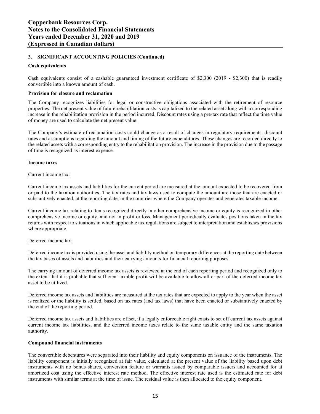#### **Cash equivalents**

Cash equivalents consist of a cashable guaranteed investment certificate of \$2,300 (2019 - \$2,300) that is readily convertible into a known amount of cash.

#### **Provision for closure and reclamation**

The Company recognizes liabilities for legal or constructive obligations associated with the retirement of resource properties. The net present value of future rehabilitation costs is capitalized to the related asset along with a corresponding increase in the rehabilitation provision in the period incurred. Discount rates using a pre-tax rate that reflect the time value of money are used to calculate the net present value.

The Company's estimate of reclamation costs could change as a result of changes in regulatory requirements, discount rates and assumptions regarding the amount and timing of the future expenditures. These changes are recorded directly to the related assets with a corresponding entry to the rehabilitation provision. The increase in the provision due to the passage of time is recognized as interest expense.

#### **Income taxes**

#### Current income tax:

Current income tax assets and liabilities for the current period are measured at the amount expected to be recovered from or paid to the taxation authorities. The tax rates and tax laws used to compute the amount are those that are enacted or substantively enacted, at the reporting date, in the countries where the Company operates and generates taxable income.

Current income tax relating to items recognized directly in other comprehensive income or equity is recognized in other comprehensive income or equity, and not in profit or loss. Management periodically evaluates positions taken in the tax returns with respect to situations in which applicable tax regulations are subject to interpretation and establishes provisions where appropriate.

#### Deferred income tax:

Deferred income tax is provided using the asset and liability method on temporary differences at the reporting date between the tax bases of assets and liabilities and their carrying amounts for financial reporting purposes.

The carrying amount of deferred income tax assets is reviewed at the end of each reporting period and recognized only to the extent that it is probable that sufficient taxable profit will be available to allow all or part of the deferred income tax asset to be utilized.

Deferred income tax assets and liabilities are measured at the tax rates that are expected to apply to the year when the asset is realized or the liability is settled, based on tax rates (and tax laws) that have been enacted or substantively enacted by the end of the reporting period.

Deferred income tax assets and liabilities are offset, if a legally enforceable right exists to set off current tax assets against current income tax liabilities, and the deferred income taxes relate to the same taxable entity and the same taxation authority.

#### **Compound financial instruments**

The convertible debentures were separated into their liability and equity components on issuance of the instruments. The liability component is initially recognized at fair value, calculated at the present value of the liability based upon debt instruments with no bonus shares, conversion feature or warrants issued by comparable issuers and accounted for at amortized cost using the effective interest rate method. The effective interest rate used is the estimated rate for debt instruments with similar terms at the time of issue. The residual value is then allocated to the equity component.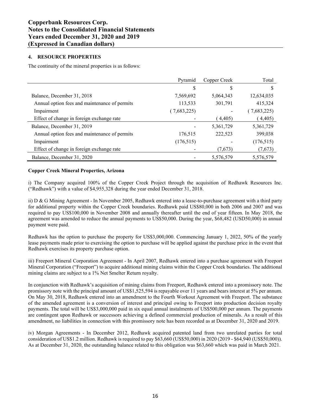# **4. RESOURCE PROPERTIES**

The continuity of the mineral properties is as follows:

|                                               | Pyramid     | Copper Creek | Total       |
|-----------------------------------------------|-------------|--------------|-------------|
|                                               | S           | D            | S           |
| Balance, December 31, 2018                    | 7,569,692   | 5,064,343    | 12,634,035  |
| Annual option fees and maintenance of permits | 113,533     | 301,791      | 415,324     |
| Impairment                                    | (7,683,225) |              | (7,683,225) |
| Effect of change in foreign exchange rate     |             | 4,405        | 4,405)      |
| Balance, December 31, 2019                    |             | 5,361,729    | 5,361,729   |
| Annual option fees and maintenance of permits | 176,515     | 222,523      | 399,038     |
| Impairment                                    | (176, 515)  |              | (176, 515)  |
| Effect of change in foreign exchange rate     |             | (7,673)      | (7,673)     |
| Balance, December 31, 2020                    |             | 5,576,579    | 5,576,579   |

# **Copper Creek Mineral Properties, Arizona**

i) The Company acquired 100% of the Copper Creek Project through the acquisition of Redhawk Resources Inc. ("Redhawk") with a value of  $$4,955,328$  during the year ended December 31, 2018.

ii) D & G Mining Agreement - In November 2005, Redhawk entered into a lease-to-purchase agreement with a third party for additional property within the Copper Creek boundaries. Redhawk paid US\$80,000 in both 2006 and 2007 and was required to pay US\$100,000 in November 2008 and annually thereafter until the end of year fifteen. In May 2018, the agreement was amended to reduce the annual payments to US\$50,000. During the year, \$68,482 (USD50,000) in annual payment were paid.

Redhawk has the option to purchase the property for US\$3,000,000. Commencing January 1, 2022, 50% of the yearly lease payments made prior to exercising the option to purchase will be applied against the purchase price in the event that Redhawk exercises its property purchase option.

iii) Freeport Mineral Corporation Agreement - In April 2007, Redhawk entered into a purchase agreement with Freeport Mineral Corporation ("Freeport") to acquire additional mining claims within the Copper Creek boundaries. The additional mining claims are subject to a 1% Net Smelter Return royalty.

In conjunction with Redhawk's acquisition of mining claims from Freeport, Redhawk entered into a promissory note. The promissory note with the principal amount of US\$1,525,594 is repayable over 11 years and bears interest at 5% per annum. On May 30, 2018, Redhawk entered into an amendment to the Fourth Workout Agreement with Freeport. The substance of the amended agreement is a conversion of interest and principal owing to Freeport into production decision royalty payments. The total will be US\$3,000,000 paid in six equal annual instalments of US\$500,000 per annum. The payments are contingent upon Redhawk or successors achieving a defined commercial production of minerals. As a result of this amendment, no liabilities in connection with this promissory note has been recorded as at December 31, 2020 and 2019.

iv) Morgan Agreements - In December 2012, Redhawk acquired patented land from two unrelated parties for total consideration of US\$1.2 million. Redhawk is required to pay \$63,660 (US\$50,000) in 2020 (2019 - \$64,940 (US\$50,000)). As at December 31, 2020, the outstanding balance related to this obligation was \$63,660 which was paid in March 2021.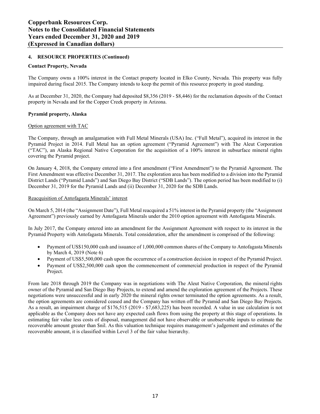# **4. RESOURCE PROPERTIES (Continued)**

# **Contact Property, Nevada**

The Company owns a 100% interest in the Contact property located in Elko County, Nevada. This property was fully impaired during fiscal 2015. The Company intends to keep the permit of this resource property in good standing.

As at December 31, 2020, the Company had deposited \$8,356 (2019 - \$8,446) for the reclamation deposits of the Contact property in Nevada and for the Copper Creek property in Arizona.

# **Pyramid property, Alaska**

#### Option agreement with TAC

The Company, through an amalgamation with Full Metal Minerals (USA) Inc. ("Full Metal"), acquired its interest in the Pyramid Project in 2014. Full Metal has an option agreement ("Pyramid Agreement") with The Aleut Corporation (³TAC´), an Alaska Regional Native Corporation for the acquisition of a 100% interest in subsurface mineral rights covering the Pyramid project.

On January 4, 2018, the Company entered into a first amendment ("First Amendment") to the Pyramid Agreement. The First Amendment was effective December 31, 2017. The exploration area has been modified to a division into the Pyramid District Lands ("Pyramid Lands") and San Diego Bay District ("SDB Lands"). The option period has been modified to (i) December 31, 2019 for the Pyramid Lands and (ii) December 31, 2020 for the SDB Lands.

#### Reacquisition of Antofagasta Minerals' interest

On March 5, 2014 (the "Assignment Date"), Full Metal reacquired a 51% interest in the Pyramid property (the "Assignment" Agreement") previously earned by Antofagasta Minerals under the 2010 option agreement with Antofagasta Minerals.

In July 2017, the Company entered into an amendment for the Assignment Agreement with respect to its interest in the Pyramid Property with Antofagasta Minerals. Total consideration, after the amendment is comprised of the following:

- Payment of US\$150,000 cash and issuance of 1,000,000 common shares of the Company to Antofagasta Minerals by March 4, 2019 (Note 6)
- Payment of US\$5,500,000 cash upon the occurrence of a construction decision in respect of the Pyramid Project.
- Payment of US\$2,500,000 cash upon the commencement of commercial production in respect of the Pyramid Project.

From late 2018 through 2019 the Company was in negotiations with The Aleut Native Corporation, the mineral rights owner of the Pyramid and San Diego Bay Projects, to extend and amend the exploration agreement of the Projects. These negotiations were unsuccessful and in early 2020 the mineral rights owner terminated the option agreements. As a result, the option agreements are considered ceased and the Company has written off the Pyramid and San Diego Bay Projects. As a result, an impairment charge of \$176,515 (2019 - \$7,683,225) has been recorded. A value in use calculation is not applicable as the Company does not have any expected cash flows from using the property at this stage of operations. In estimating fair value less costs of disposal, management did not have observable or unobservable inputs to estimate the recoverable amount greater than \$nil. As this valuation technique requires management's judgement and estimates of the recoverable amount, it is classified within Level 3 of the fair value hierarchy.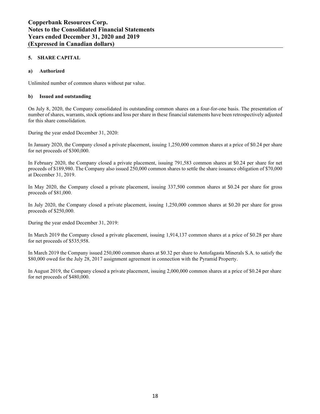# **5. SHARE CAPITAL**

# **a) Authorized**

Unlimited number of common shares without par value.

# **b) Issued and outstanding**

On July 8, 2020, the Company consolidated its outstanding common shares on a four-for-one basis. The presentation of number of shares, warrants, stock options and loss per share in these financial statements have been retrospectively adjusted for this share consolidation.

During the year ended December 31, 2020:

In January 2020, the Company closed a private placement, issuing 1,250,000 common shares at a price of \$0.24 per share for net proceeds of \$300,000.

In February 2020, the Company closed a private placement, issuing 791,583 common shares at \$0.24 per share for net proceeds of \$189,980. The Company also issued 250,000 common shares to settle the share issuance obligation of \$70,000 at December 31, 2019.

In May 2020, the Company closed a private placement, issuing 337,500 common shares at \$0.24 per share for gross proceeds of \$81,000.

In July 2020, the Company closed a private placement, issuing 1,250,000 common shares at \$0.20 per share for gross proceeds of \$250,000.

During the year ended December 31, 2019:

In March 2019 the Company closed a private placement, issuing 1,914,137 common shares at a price of \$0.28 per share for net proceeds of \$535,958.

In March 2019 the Company issued 250,000 common shares at \$0.32 per share to Antofagasta Minerals S.A. to satisfy the \$80,000 owed for the July 28, 2017 assignment agreement in connection with the Pyramid Property.

In August 2019, the Company closed a private placement, issuing 2,000,000 common shares at a price of \$0.24 per share for net proceeds of \$480,000.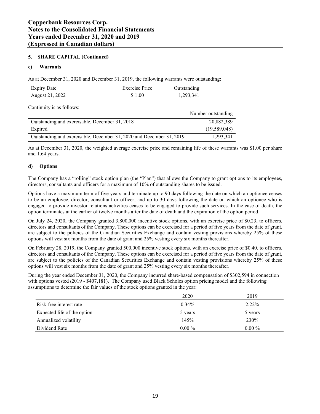# **5. SHARE CAPITAL (Continued)**

# **c) Warrants**

As at December 31, 2020 and December 31, 2019, the following warrants were outstanding:

| <b>Expiry Date</b> | <b>Exercise Price</b> | Jutstanding |
|--------------------|-----------------------|-------------|
| August 21, 2022    | \$1.00                | 1.293.341   |

Continuity is as follows:

|                                                                      | Number outstanding |
|----------------------------------------------------------------------|--------------------|
| Outstanding and exercisable, December 31, 2018                       | 20,882,389         |
| Expired                                                              | (19,589,048)       |
| Outstanding and exercisable, December 31, 2020 and December 31, 2019 | 1,293,341          |

As at December 31, 2020, the weighted average exercise price and remaining life of these warrants was \$1.00 per share and 1.64 years.

# **d) Options**

The Company has a "rolling" stock option plan (the "Plan") that allows the Company to grant options to its employees, directors, consultants and officers for a maximum of 10% of outstanding shares to be issued.

Options have a maximum term of five years and terminate up to 90 days following the date on which an optionee ceases to be an employee, director, consultant or officer, and up to 30 days following the date on which an optionee who is engaged to provide investor relations activities ceases to be engaged to provide such services. In the case of death, the option terminates at the earlier of twelve months after the date of death and the expiration of the option period.

On July 24, 2020, the Company granted 3,800,000 incentive stock options, with an exercise price of \$0.23, to officers, directors and consultants of the Company. These options can be exercised for a period of five years from the date of grant, are subject to the policies of the Canadian Securities Exchange and contain vesting provisions whereby 25% of these options will vest six months from the date of grant and 25% vesting every six months thereafter.

On February 28, 2019, the Company granted 500,000 incentive stock options, with an exercise price of \$0.40, to officers, directors and consultants of the Company. These options can be exercised for a period of five years from the date of grant, are subject to the policies of the Canadian Securities Exchange and contain vesting provisions whereby 25% of these options will vest six months from the date of grant and 25% vesting every six months thereafter.

During the year ended December 31, 2020, the Company incurred share-based compensation of \$302,594 in connection with options vested (2019 - \$407,181). The Company used Black Scholes option pricing model and the following assumptions to determine the fair values of the stock options granted in the year:

|                             | 2020     | 2019     |
|-----------------------------|----------|----------|
| Risk-free interest rate     | $0.34\%$ | 2.22%    |
| Expected life of the option | 5 years  | 5 years  |
| Annualized volatility       | 145%     | 230%     |
| Dividend Rate               | $0.00\%$ | $0.00\%$ |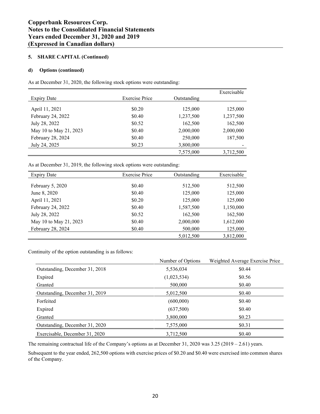# **5. SHARE CAPITAL (Continued)**

# **d) Options (continued)**

As at December 31, 2020, the following stock options were outstanding:

|                        |                       |             | Exercisable |
|------------------------|-----------------------|-------------|-------------|
| <b>Expiry Date</b>     | <b>Exercise Price</b> | Outstanding |             |
|                        |                       |             |             |
| April 11, 2021         | \$0.20                | 125,000     | 125,000     |
| February 24, 2022      | \$0.40                | 1,237,500   | 1,237,500   |
| July 28, 2022          | \$0.52                | 162,500     | 162,500     |
| May 10 to May 21, 2023 | \$0.40                | 2,000,000   | 2,000,000   |
| February 28, 2024      | \$0.40                | 250,000     | 187,500     |
| July 24, 2025          | \$0.23                | 3,800,000   |             |
|                        |                       | 7,575,000   | 3,712,500   |

As at December 31, 2019, the following stock options were outstanding:

| <b>Expiry Date</b>     | <b>Exercise Price</b> | Outstanding | Exercisable |
|------------------------|-----------------------|-------------|-------------|
|                        |                       |             |             |
| February 5, 2020       | \$0.40                | 512,500     | 512,500     |
| June 8, 2020           | \$0.40                | 125,000     | 125,000     |
| April 11, 2021         | \$0.20                | 125,000     | 125,000     |
| February 24, 2022      | \$0.40                | 1,587,500   | 1,150,000   |
| July 28, 2022          | \$0.52                | 162,500     | 162,500     |
| May 10 to May 21, 2023 | \$0.40                | 2,000,000   | 1,612,000   |
| February 28, 2024      | \$0.40                | 500,000     | 125,000     |
|                        |                       | 5,012,500   | 3,812,000   |

Continuity of the option outstanding is as follows:

|                                | Number of Options | Weighted Average Exercise Price |
|--------------------------------|-------------------|---------------------------------|
| Outstanding, December 31, 2018 | 5,536,034         | \$0.44                          |
| Expired                        | (1,023,534)       | \$0.56                          |
| Granted                        | 500,000           | \$0.40                          |
| Outstanding, December 31, 2019 | 5,012,500         | \$0.40                          |
| Forfeited                      | (600,000)         | \$0.40                          |
| Expired                        | (637,500)         | \$0.40                          |
| Granted                        | 3,800,000         | \$0.23                          |
| Outstanding, December 31, 2020 | 7,575,000         | \$0.31                          |
| Exercisable, December 31, 2020 | 3,712,500         | \$0.40                          |

The remaining contractual life of the Company's options as at December 31, 2020 was  $3.25$  (2019  $- 2.61$ ) years.

Subsequent to the year ended, 262,500 options with exercise prices of \$0.20 and \$0.40 were exercised into common shares of the Company.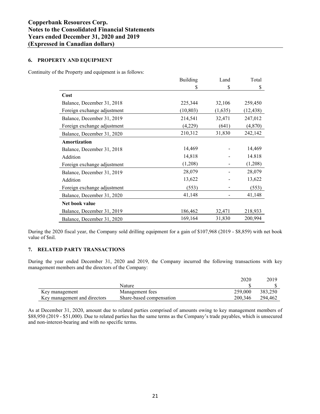# **6. PROPERTY AND EQUIPMENT**

Continuity of the Property and equipment is as follows:

|                             | <b>Building</b> | Land    | Total     |
|-----------------------------|-----------------|---------|-----------|
|                             | \$              | \$      | \$        |
| Cost                        |                 |         |           |
| Balance, December 31, 2018  | 225,344         | 32,106  | 259,450   |
| Foreign exchange adjustment | (10, 803)       | (1,635) | (12, 438) |
| Balance, December 31, 2019  | 214,541         | 32,471  | 247,012   |
| Foreign exchange adjustment | (4,229)         | (641)   | (4, 870)  |
| Balance, December 31, 2020  | 210,312         | 31,830  | 242,142   |
| Amortization                |                 |         |           |
| Balance, December 31, 2018  | 14,469          |         | 14,469    |
| Addition                    | 14,818          |         | 14.818    |
| Foreign exchange adjustment | (1,208)         |         | (1,208)   |
| Balance, December 31, 2019  | 28,079          |         | 28,079    |
| Addition                    | 13,622          |         | 13,622    |
| Foreign exchange adjustment | (553)           |         | (553)     |
| Balance, December 31, 2020  | 41,148          |         | 41,148    |
| Net book value              |                 |         |           |
| Balance, December 31, 2019  | 186,462         | 32,471  | 218,933   |
| Balance, December 31, 2020  | 169,164         | 31,830  | 200,994   |

During the 2020 fiscal year, the Company sold drilling equipment for a gain of \$107,968 (2019 - \$8,859) with net book value of \$nil.

# **7. RELATED PARTY TRANSACTIONS**

During the year ended December 31, 2020 and 2019, the Company incurred the following transactions with key management members and the directors of the Company:

|                              |                          | 2020    | 2019    |
|------------------------------|--------------------------|---------|---------|
|                              | Nature                   |         |         |
| Key management               | Management fees          | 259,000 | 383.250 |
| Key management and directors | Share-based compensation | 200.346 | 294.462 |

As at December 31, 2020, amount due to related parties comprised of amounts owing to key management members of \$88,950 (2019 - \$51,000). Due to related parties has the same terms as the Company's trade payables, which is unsecured and non-interest-bearing and with no specific terms.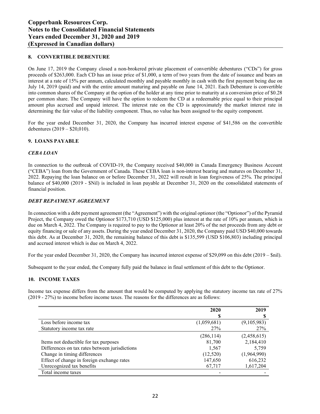# **8. CONVERTIBLE DEBENTURE**

On June 17, 2019 the Company closed a non-brokered private placement of convertible debentures ("CDs") for gross proceeds of \$263,000. Each CD has an issue price of \$1,000, a term of two years from the date of issuance and bears an interest at a rate of 15% per annum, calculated monthly and payable monthly in cash with the first payment being due on July 14, 2019 (paid) and with the entire amount maturing and payable on June 14, 2021. Each Debenture is convertible into common shares of the Company at the option of the holder at any time prior to maturity at a conversion price of \$0.28 per common share. The Company will have the option to redeem the CD at a redeemable price equal to their principal amount plus accrued and unpaid interest. The interest rate on the CD is approximately the market interest rate in determining the fair value of the liability component. Thus, no value has been assigned to the equity component.

For the year ended December 31, 2020, the Company has incurred interest expense of \$41,586 on the convertible debentures  $(2019 - $20,010)$ .

# **9. LOANS PAYABLE**

#### *CEBA LOAN*

In connection to the outbreak of COVID-19, the Company received \$40,000 in Canada Emergency Business Account (³CEBA´) loan from the Government of Canada. These CEBA loan is non-interest bearing and matures on December 31, 2022. Repaying the loan balance on or before December 31, 2022 will result in loan forgiveness of 25%. The principal balance of \$40,000 (2019 - \$Nil) is included in loan payable at December 31, 2020 on the consolidated statements of financial position.

#### *DEBT REPAYMENT AGREEMENT*

In connection with a debt payment agreement (the "Agreement") with the original optionor (the "Optionor") of the Pyramid Project, the Company owed the Optionor \$173,710 (USD \$125,000) plus interest at the rate of 10% per annum, which is due on March 4, 2022. The Company is required to pay to the Optionor at least 20% of the net proceeds from any debt or equity financing or sale of any assets. During the year ended December 31, 2020, the Company paid USD \$40,000 towards this debt. As at December 31, 2020, the remaining balance of this debt is \$135,599 (USD \$106,803) including principal and accrued interest which is due on March 4, 2022.

For the year ended December 31, 2020, the Company has incurred interest expense of \$29,099 on this debt (2019  $-$  \$nil).

Subsequent to the year ended, the Company fully paid the balance in final settlement of this debt to the Optionor.

#### **10. INCOME TAXES**

Income tax expense differs from the amount that would be computed by applying the statutory income tax rate of 27% (2019 - 27%) to income before income taxes. The reasons for the differences are as follows:

|                                                | 2020        | 2019        |
|------------------------------------------------|-------------|-------------|
|                                                | S           |             |
| Loss before income tax                         | (1,059,681) | (9,105,983) |
| Statutory income tax rate                      | <b>27%</b>  | 27%         |
|                                                | (286, 114)  | (2,458,615) |
| Items not deductible for tax purposes          | 81,700      | 2,184,410   |
| Differences on tax rates between jurisdictions | 1,567       | 5,759       |
| Change in timing differences                   | (12,520)    | (1,964,990) |
| Effect of change in foreign exchange rates     | 147,650     | 616,232     |
| Unrecognized tax benefits                      | 67,717      | 1,617,204   |
| Total income taxes                             |             |             |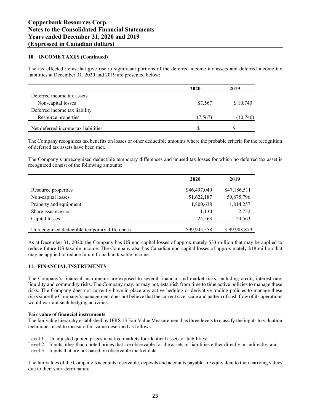# **10. INCOME TAXES (Continued)**

The tax effected items that give rise to significant portions of the deferred income tax assets and deferred income tax liabilities at December 31, 2020 and 2019 are presented below:

| \$7,567                  | \$10,740 |  |
|--------------------------|----------|--|
|                          |          |  |
| (7, 567)                 | (10,740) |  |
| $\overline{\phantom{0}}$ |          |  |
|                          |          |  |

7 The Company recognizes tax benefits on losses or other deductible amounts where the probable criteria for the recognition of defermed ten except have been met. of deferred tax assets have been met.

The Company's unrecognized deductible temporary differences and unused tax losses for which no deferred tax asset is recognized consist of the following amounts:

|                                               | 2020         | 2019         |
|-----------------------------------------------|--------------|--------------|
| Resource properties                           | \$46,497,040 | \$47,186,511 |
| Non-capital losses                            | 51,622,187   | 50,875,796   |
| Property and equipment                        | 1,800,638    | 1,814,257    |
| Share issuance cost                           | 1,130        | 2,752        |
| Capital losses                                | 24,563       | 24,563       |
| Unrecognized deductible temporary differences | \$99,945,558 | \$99,903,879 |

As at December 31, 2020, the Company has US non-capital losses of approximately \$33 million that may be applied to reduce future US taxable income. The Company also has Canadian non-capital losses of approximately \$18 million that may be applied to reduce future Canadian taxable income.

# **11. FINANCIAL INSTRUMENTS**

The Company's financial instruments are exposed to several financial and market risks, including credit, interest rate, liquidity and commodity risks. The Company may, or may not, establish from time to time active policies to manage these risks. The Company does not currently have in place any active hedging or derivative trading policies to manage these risks since the Company's management does not believe that the current size, scale and pattern of cash flow of its operations would warrant such hedging activities.

#### **Fair value of financial instruments**

The fair value hierarchy established by IFRS 13 Fair Value Measurement has three levels to classify the inputs to valuation techniques used to measure fair value described as follows:

Level  $1 -$ Unadjusted quoted prices in active markets for identical assets or liabilities;

Level 2 – Inputs other than quoted prices that are observable for the assets or liabilities either directly or indirectly; and Level  $3$  – Inputs that are not based on observable market data.

The fair values of the Company's accounts receivable, deposits and accounts payable are equivalent to their carrying values due to their short-term nature.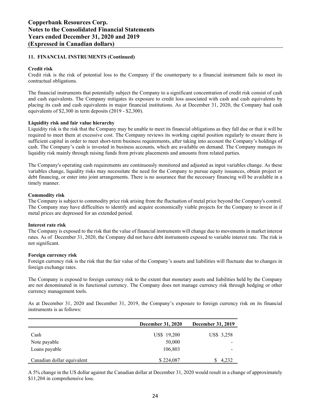# **11. FINANCIAL INSTRUMENTS (Continued)**

#### **Credit risk**

Credit risk is the risk of potential loss to the Company if the counterparty to a financial instrument fails to meet its contractual obligations.

The financial instruments that potentially subject the Company to a significant concentration of credit risk consist of cash and cash equivalents. The Company mitigates its exposure to credit loss associated with cash and cash equivalents by placing its cash and cash equivalents in major financial institutions. As at December 31, 2020, the Company had cash equivalents of \$2,300 in term deposits (2019 - \$2,300).

#### **Liquidity risk and fair value hierarchy**

Liquidity risk is the risk that the Company may be unable to meet its financial obligations as they fall due or that it will be required to meet them at excessive cost. The Company reviews its working capital position regularly to ensure there is sufficient capital in order to meet short-term business requirements, after taking into account the Company's holdings of cash. The Company's cash is invested in business accounts, which are available on demand. The Company manages its liquidity risk mainly through raising funds from private placements and amounts from related parties.

The Company's operating cash requirements are continuously monitored and adjusted as input variables change. As these variables change, liquidity risks may necessitate the need for the Company to pursue equity issuances, obtain project or debt financing, or enter into joint arrangements. There is no assurance that the necessary financing will be available in a timely manner.

#### **Commodity risk**

The Company is subject to commodity price risk arising from the fluctuation of metal price beyond the Company's control. The Company may have difficulties to identify and acquire economically viable projects for the Company to invest in if metal prices are depressed for an extended period.

#### **Interest rate risk**

The Company is exposed to the risk that the value of financial instruments will change due to movements in market interest rates. As of December 31, 2020, the Company did not have debt instruments exposed to variable interest rate. The risk is not significant.

#### **Foreign currency risk**

Foreign currency risk is the risk that the fair value of the Company's assets and liabilities will fluctuate due to changes in foreign exchange rates.

The Company is exposed to foreign currency risk to the extent that monetary assets and liabilities held by the Company are not denominated in its functional currency. The Company does not manage currency risk through hedging or other currency management tools.

As at December 31, 2020 and December 31, 2019, the Company's exposure to foreign currency risk on its financial instruments is as follows:

|                            | December 31, 2020 | <b>December 31, 2019</b> |
|----------------------------|-------------------|--------------------------|
| Cash                       | US\$ 19,200       | US\$ 3,258               |
| Note payable               | 50,000            | $\overline{\phantom{a}}$ |
| Loans payable              | 106,803           | -                        |
| Canadian dollar equivalent | \$224,087         | 4,232                    |

A 5% change in the US dollar against the Canadian dollar at December 31, 2020 would result in a change of approximately \$11,204 in comprehensive loss.